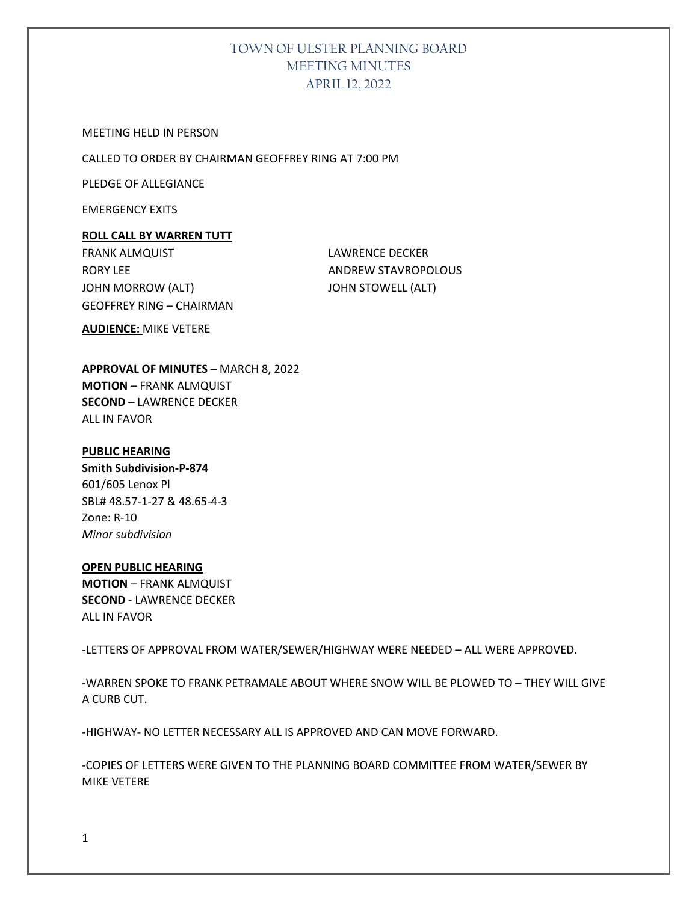MEETING HELD IN PERSON

CALLED TO ORDER BY CHAIRMAN GEOFFREY RING AT 7:00 PM

PLEDGE OF ALLEGIANCE

EMERGENCY EXITS

#### **ROLL CALL BY WARREN TUTT**

FRANK ALMQUIST **LAWRENCE DECKER** RORY LEE ANDREW STAVROPOLOUS JOHN MORROW (ALT) JOHN STOWELL (ALT) GEOFFREY RING – CHAIRMAN

**AUDIENCE:** MIKE VETERE

**APPROVAL OF MINUTES** – MARCH 8, 2022 **MOTION** – FRANK ALMQUIST **SECOND** – LAWRENCE DECKER ALL IN FAVOR

#### **PUBLIC HEARING**

**Smith Subdivision-P-874** 601/605 Lenox Pl SBL# 48.57-1-27 & 48.65-4-3 Zone: R-10 *Minor subdivision*

## **OPEN PUBLIC HEARING MOTION** – FRANK ALMQUIST

**SECOND** - LAWRENCE DECKER ALL IN FAVOR

-LETTERS OF APPROVAL FROM WATER/SEWER/HIGHWAY WERE NEEDED – ALL WERE APPROVED.

-WARREN SPOKE TO FRANK PETRAMALE ABOUT WHERE SNOW WILL BE PLOWED TO – THEY WILL GIVE A CURB CUT.

-HIGHWAY- NO LETTER NECESSARY ALL IS APPROVED AND CAN MOVE FORWARD.

-COPIES OF LETTERS WERE GIVEN TO THE PLANNING BOARD COMMITTEE FROM WATER/SEWER BY MIKE VETERE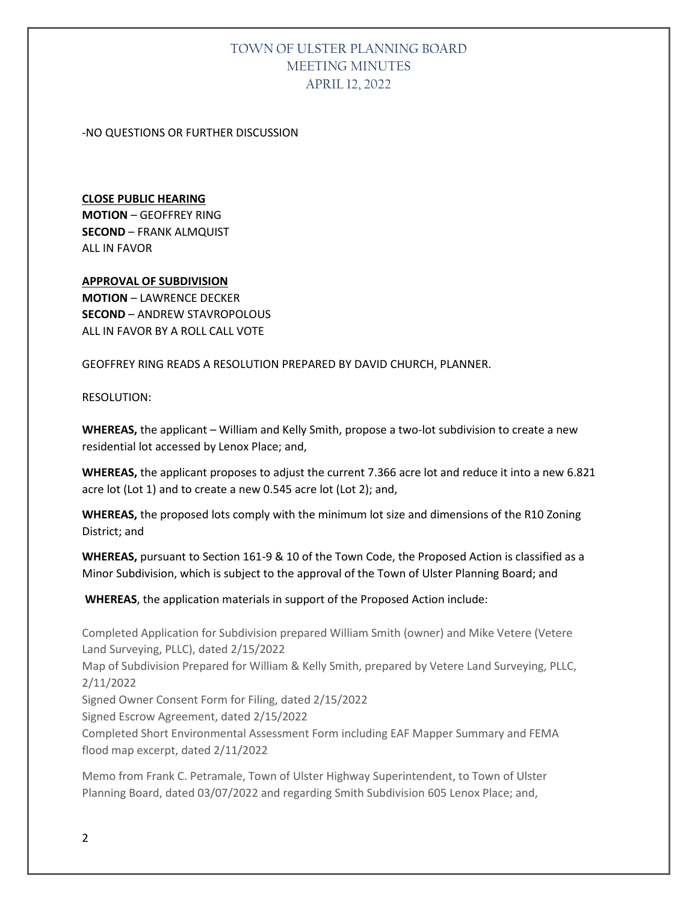#### -NO QUESTIONS OR FURTHER DISCUSSION

## **CLOSE PUBLIC HEARING MOTION** – GEOFFREY RING **SECOND** – FRANK ALMQUIST ALL IN FAVOR

## **APPROVAL OF SUBDIVISION MOTION** – LAWRENCE DECKER **SECOND** – ANDREW STAVROPOLOUS ALL IN FAVOR BY A ROLL CALL VOTE

GEOFFREY RING READS A RESOLUTION PREPARED BY DAVID CHURCH, PLANNER.

#### RESOLUTION:

**WHEREAS,** the applicant – William and Kelly Smith, propose a two-lot subdivision to create a new residential lot accessed by Lenox Place; and,

**WHEREAS,** the applicant proposes to adjust the current 7.366 acre lot and reduce it into a new 6.821 acre lot (Lot 1) and to create a new 0.545 acre lot (Lot 2); and,

**WHEREAS,** the proposed lots comply with the minimum lot size and dimensions of the R10 Zoning District; and

**WHEREAS,** pursuant to Section 161-9 & 10 of the Town Code, the Proposed Action is classified as a Minor Subdivision, which is subject to the approval of the Town of Ulster Planning Board; and

**WHEREAS**, the application materials in support of the Proposed Action include:

Completed Application for Subdivision prepared William Smith (owner) and Mike Vetere (Vetere Land Surveying, PLLC), dated 2/15/2022 Map of Subdivision Prepared for William & Kelly Smith, prepared by Vetere Land Surveying, PLLC, 2/11/2022 Signed Owner Consent Form for Filing, dated 2/15/2022 Signed Escrow Agreement, dated 2/15/2022 Completed Short Environmental Assessment Form including EAF Mapper Summary and FEMA flood map excerpt, dated 2/11/2022

Memo from Frank C. Petramale, Town of Ulster Highway Superintendent, to Town of Ulster Planning Board, dated 03/07/2022 and regarding Smith Subdivision 605 Lenox Place; and,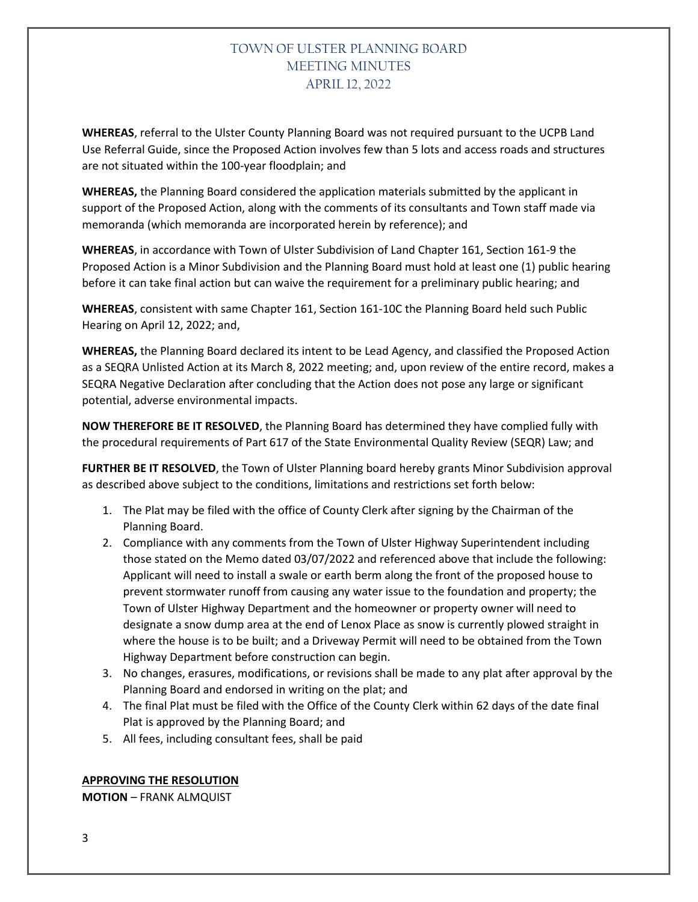**WHEREAS**, referral to the Ulster County Planning Board was not required pursuant to the UCPB Land Use Referral Guide, since the Proposed Action involves few than 5 lots and access roads and structures are not situated within the 100-year floodplain; and

**WHEREAS,** the Planning Board considered the application materials submitted by the applicant in support of the Proposed Action, along with the comments of its consultants and Town staff made via memoranda (which memoranda are incorporated herein by reference); and

**WHEREAS**, in accordance with Town of Ulster Subdivision of Land Chapter 161, Section 161-9 the Proposed Action is a Minor Subdivision and the Planning Board must hold at least one (1) public hearing before it can take final action but can waive the requirement for a preliminary public hearing; and

**WHEREAS**, consistent with same Chapter 161, Section 161-10C the Planning Board held such Public Hearing on April 12, 2022; and,

**WHEREAS,** the Planning Board declared its intent to be Lead Agency, and classified the Proposed Action as a SEQRA Unlisted Action at its March 8, 2022 meeting; and, upon review of the entire record, makes a SEQRA Negative Declaration after concluding that the Action does not pose any large or significant potential, adverse environmental impacts.

**NOW THEREFORE BE IT RESOLVED**, the Planning Board has determined they have complied fully with the procedural requirements of Part 617 of the State Environmental Quality Review (SEQR) Law; and

**FURTHER BE IT RESOLVED**, the Town of Ulster Planning board hereby grants Minor Subdivision approval as described above subject to the conditions, limitations and restrictions set forth below:

- 1. The Plat may be filed with the office of County Clerk after signing by the Chairman of the Planning Board.
- 2. Compliance with any comments from the Town of Ulster Highway Superintendent including those stated on the Memo dated 03/07/2022 and referenced above that include the following: Applicant will need to install a swale or earth berm along the front of the proposed house to prevent stormwater runoff from causing any water issue to the foundation and property; the Town of Ulster Highway Department and the homeowner or property owner will need to designate a snow dump area at the end of Lenox Place as snow is currently plowed straight in where the house is to be built; and a Driveway Permit will need to be obtained from the Town Highway Department before construction can begin.
- 3. No changes, erasures, modifications, or revisions shall be made to any plat after approval by the Planning Board and endorsed in writing on the plat; and
- 4. The final Plat must be filed with the Office of the County Clerk within 62 days of the date final Plat is approved by the Planning Board; and
- 5. All fees, including consultant fees, shall be paid

#### **APPROVING THE RESOLUTION**

**MOTION** – FRANK ALMQUIST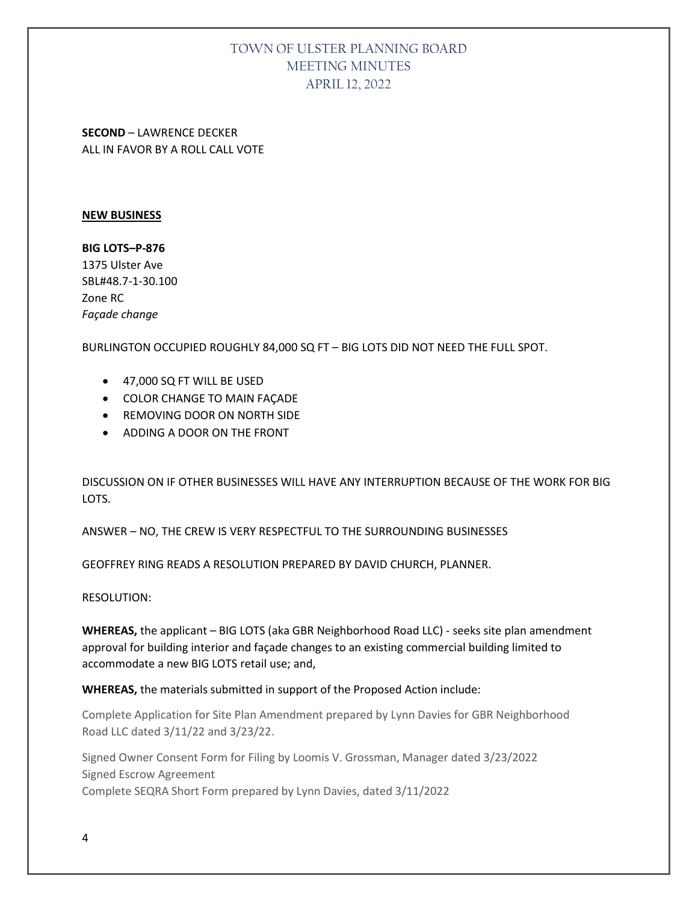**SECOND** – LAWRENCE DECKER ALL IN FAVOR BY A ROLL CALL VOTE

#### **NEW BUSINESS**

**BIG LOTS–P-876** 1375 Ulster Ave SBL#48.7-1-30.100 Zone RC *Façade change*

BURLINGTON OCCUPIED ROUGHLY 84,000 SQ FT – BIG LOTS DID NOT NEED THE FULL SPOT.

- 47,000 SQ FT WILL BE USED
- COLOR CHANGE TO MAIN FAÇADE
- REMOVING DOOR ON NORTH SIDE
- ADDING A DOOR ON THE FRONT

DISCUSSION ON IF OTHER BUSINESSES WILL HAVE ANY INTERRUPTION BECAUSE OF THE WORK FOR BIG LOTS.

ANSWER – NO, THE CREW IS VERY RESPECTFUL TO THE SURROUNDING BUSINESSES

GEOFFREY RING READS A RESOLUTION PREPARED BY DAVID CHURCH, PLANNER.

RESOLUTION:

**WHEREAS,** the applicant – BIG LOTS (aka GBR Neighborhood Road LLC) - seeks site plan amendment approval for building interior and façade changes to an existing commercial building limited to accommodate a new BIG LOTS retail use; and,

**WHEREAS,** the materials submitted in support of the Proposed Action include:

Complete Application for Site Plan Amendment prepared by Lynn Davies for GBR Neighborhood Road LLC dated 3/11/22 and 3/23/22.

Signed Owner Consent Form for Filing by Loomis V. Grossman, Manager dated 3/23/2022 Signed Escrow Agreement Complete SEQRA Short Form prepared by Lynn Davies, dated 3/11/2022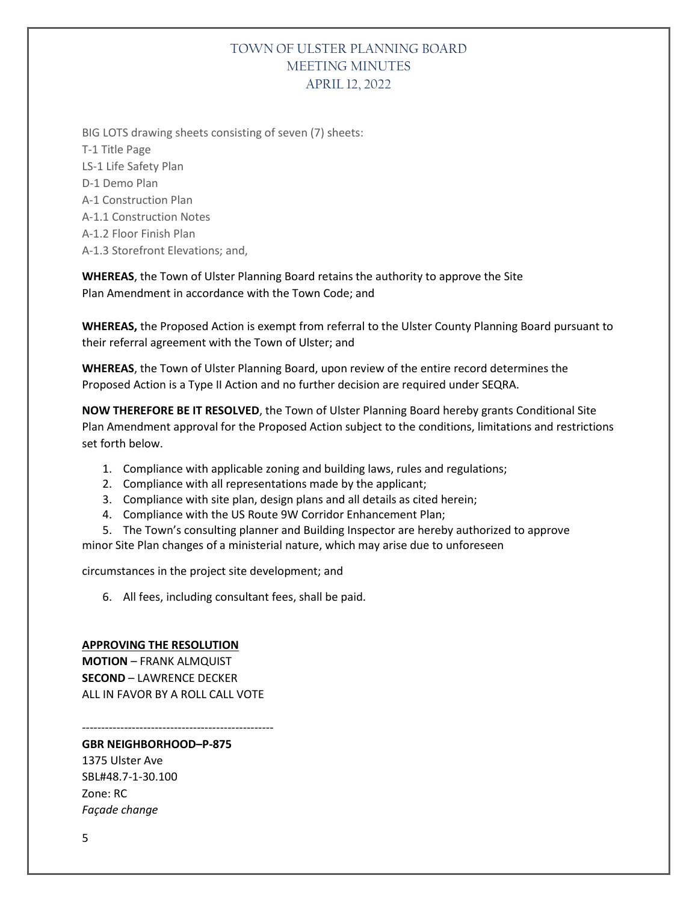BIG LOTS drawing sheets consisting of seven (7) sheets: T-1 Title Page LS-1 Life Safety Plan D-1 Demo Plan A-1 Construction Plan A-1.1 Construction Notes A-1.2 Floor Finish Plan A-1.3 Storefront Elevations; and,

**WHEREAS**, the Town of Ulster Planning Board retains the authority to approve the Site Plan Amendment in accordance with the Town Code; and

**WHEREAS,** the Proposed Action is exempt from referral to the Ulster County Planning Board pursuant to their referral agreement with the Town of Ulster; and

**WHEREAS**, the Town of Ulster Planning Board, upon review of the entire record determines the Proposed Action is a Type II Action and no further decision are required under SEQRA.

**NOW THEREFORE BE IT RESOLVED**, the Town of Ulster Planning Board hereby grants Conditional Site Plan Amendment approval for the Proposed Action subject to the conditions, limitations and restrictions set forth below.

- 1. Compliance with applicable zoning and building laws, rules and regulations;
- 2. Compliance with all representations made by the applicant;
- 3. Compliance with site plan, design plans and all details as cited herein;
- 4. Compliance with the US Route 9W Corridor Enhancement Plan;

5. The Town's consulting planner and Building Inspector are hereby authorized to approve minor Site Plan changes of a ministerial nature, which may arise due to unforeseen

circumstances in the project site development; and

6. All fees, including consultant fees, shall be paid.

# **APPROVING THE RESOLUTION**

**MOTION** – FRANK ALMQUIST **SECOND** – LAWRENCE DECKER ALL IN FAVOR BY A ROLL CALL VOTE

--------------------------------------------------

**GBR NEIGHBORHOOD–P-875** 1375 Ulster Ave SBL#48.7-1-30.100 Zone: RC *Façade change*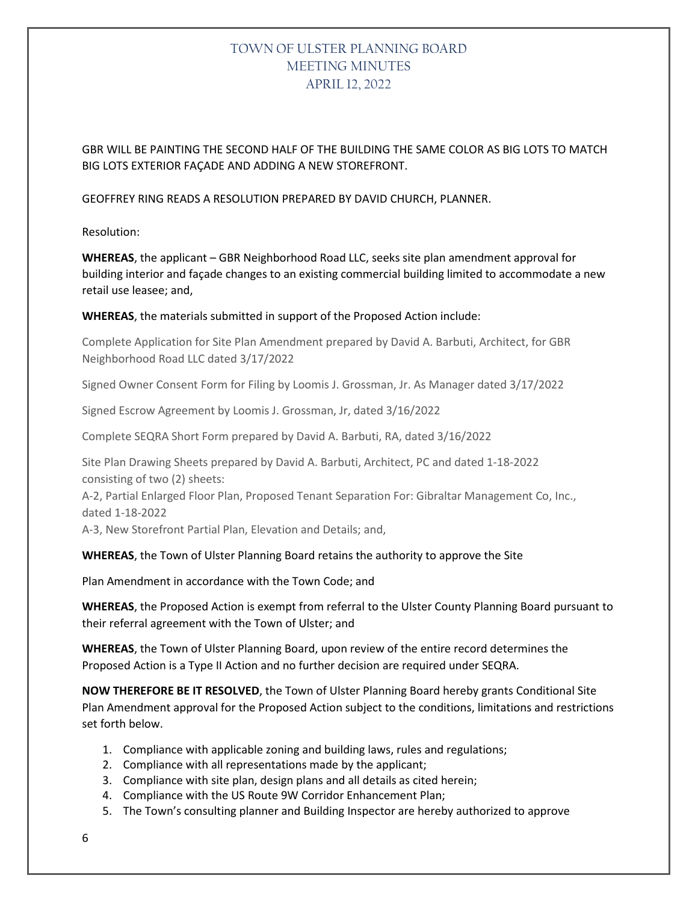GBR WILL BE PAINTING THE SECOND HALF OF THE BUILDING THE SAME COLOR AS BIG LOTS TO MATCH BIG LOTS EXTERIOR FAÇADE AND ADDING A NEW STOREFRONT.

GEOFFREY RING READS A RESOLUTION PREPARED BY DAVID CHURCH, PLANNER.

Resolution:

**WHEREAS**, the applicant – GBR Neighborhood Road LLC, seeks site plan amendment approval for building interior and façade changes to an existing commercial building limited to accommodate a new retail use leasee; and,

#### **WHEREAS**, the materials submitted in support of the Proposed Action include:

Complete Application for Site Plan Amendment prepared by David A. Barbuti, Architect, for GBR Neighborhood Road LLC dated 3/17/2022

Signed Owner Consent Form for Filing by Loomis J. Grossman, Jr. As Manager dated 3/17/2022

Signed Escrow Agreement by Loomis J. Grossman, Jr, dated 3/16/2022

Complete SEQRA Short Form prepared by David A. Barbuti, RA, dated 3/16/2022

Site Plan Drawing Sheets prepared by David A. Barbuti, Architect, PC and dated 1-18-2022 consisting of two (2) sheets:

A-2, Partial Enlarged Floor Plan, Proposed Tenant Separation For: Gibraltar Management Co, Inc., dated 1-18-2022

A-3, New Storefront Partial Plan, Elevation and Details; and,

#### **WHEREAS**, the Town of Ulster Planning Board retains the authority to approve the Site

Plan Amendment in accordance with the Town Code; and

**WHEREAS**, the Proposed Action is exempt from referral to the Ulster County Planning Board pursuant to their referral agreement with the Town of Ulster; and

**WHEREAS**, the Town of Ulster Planning Board, upon review of the entire record determines the Proposed Action is a Type II Action and no further decision are required under SEQRA.

**NOW THEREFORE BE IT RESOLVED**, the Town of Ulster Planning Board hereby grants Conditional Site Plan Amendment approval for the Proposed Action subject to the conditions, limitations and restrictions set forth below.

- 1. Compliance with applicable zoning and building laws, rules and regulations;
- 2. Compliance with all representations made by the applicant;
- 3. Compliance with site plan, design plans and all details as cited herein;
- 4. Compliance with the US Route 9W Corridor Enhancement Plan;
- 5. The Town's consulting planner and Building Inspector are hereby authorized to approve